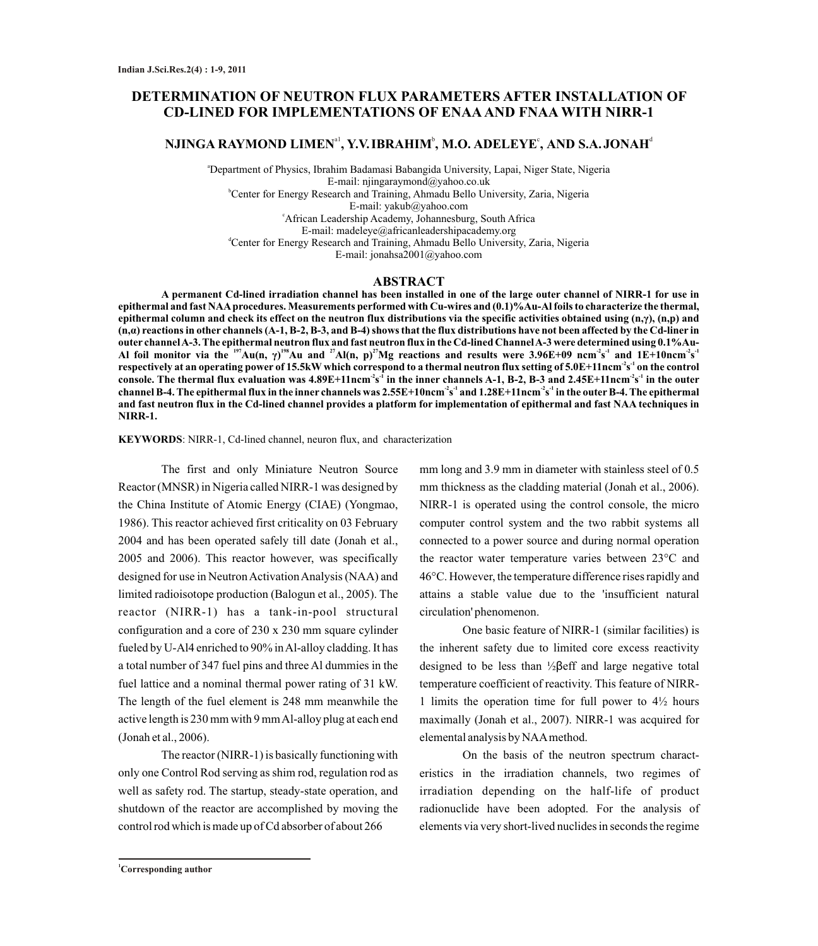# **DETERMINATION OF NEUTRON FLUX PARAMETERS AFTER INSTALLATION OF CD-LINED FOR IMPLEMENTATIONS OF ENAAAND FNAA WITH NIRR-1**

# $\mathbf{N}$ JINGA RAYMOND LIMEN $^{\text{al}}$ , Y.V.IBRAHIM $^{\text{b}}$ , M.O. ADELEYE°, AND S.A.JONAH $^{\text{d}}$

<sup>a</sup>Department of Physics, Ibrahim Badamasi Babangida University, Lapai, Niger State, Nigeria E-mail: njingaraymond@yahoo.co.uk <sup>b</sup>Center for Energy Research and Training, Ahmadu Bello University, Zaria, Nigeria E-mail: yakub@yahoo.com <sup>c</sup>African Leadership Academy, Johannesburg, South Africa E-mail: madeleye@africanleadershipacademy.org <sup>d</sup>Center for Energy Research and Training, Ahmadu Bello University, Zaria, Nigeria E-mail: jonahsa2001@yahoo.com

#### **ABSTRACT**

**A permanent Cd-lined irradiation channel has been installed in one of the large outer channel of NIRR-1 for use in epithermal and fast NAAprocedures. Measurements performed with Cu-wires and (0.1)%Au-Al foils to characterize the thermal, epithermal column and check its effect on the neutron flux distributions via the specific activities obtained using (n,γ), (n,p) and (n,α) reactions in other channels (A-1, B-2, B-3, and B-4) shows that the flux distributions have not been affected by the Cd-liner in outer channel A-3. The epithermal neutron flux and fast neutron flux in the Cd-lined Channel A-3 were determined using 0.1%Au-**Al foil monitor via the <sup>197</sup>Au(n,  $\gamma$ )<sup>198</sup>Au and <sup>27</sup>Al(n, p)<sup>27</sup>Mg reactions and results were 3.96E+09 ncm<sup>2</sup>s<sup>-1</sup> and 1E+10ncm<sup>2</sup>s<sup>-1</sup> **-2 -1 respectively at an operating power of 15.5kWwhich correspond to a thermal neutron flux setting of 5.0E+11ncm s on the control -2 -1 -2 -1 console. The thermal flux evaluation was 4.89E+11ncm s in the inner channels A-1, B-2, B-3 and 2.45E+11ncm s in the outer -2 -1 -2 -1 channel B-4. The epithermal flux in the inner channels was 2.55E+10ncm s and 1.28E+11ncm s in the outerB-4. The epithermal and fast neutron flux in the Cd-lined channel provides a platform for implementation of epithermal and fast NAA techniques in NIRR-1.** 

#### **KEYWORDS**: NIRR-1, Cd-lined channel, neuron flux, and characterization

The first and only Miniature Neutron Source Reactor (MNSR) in Nigeria called NIRR-1 was designed by the China Institute of Atomic Energy (CIAE) (Yongmao, 1986). This reactor achieved first criticality on 03 February 2004 and has been operated safely till date (Jonah et al., 2005 and 2006). This reactor however, was specifically designed for use in Neutron Activation Analysis (NAA) and limited radioisotope production (Balogun et al., 2005). The reactor (NIRR-1) has a tank-in-pool structural configuration and a core of 230 x 230 mm square cylinder fueled by U-Al4 enriched to 90% in Al-alloy cladding. It has a total number of 347 fuel pins and three Al dummies in the fuel lattice and a nominal thermal power rating of 31 kW. The length of the fuel element is 248 mm meanwhile the active length is 230 mm with 9 mm Al-alloy plug at each end (Jonah et al., 2006).

The reactor (NIRR-1) is basically functioning with only one Control Rod serving as shim rod, regulation rod as well as safety rod. The startup, steady-state operation, and shutdown of the reactor are accomplished by moving the control rod which is made up of Cd absorber of about 266

mm long and 3.9 mm in diameter with stainless steel of 0.5 mm thickness as the cladding material (Jonah et al., 2006). NIRR-1 is operated using the control console, the micro computer control system and the two rabbit systems all connected to a power source and during normal operation the reactor water temperature varies between 23°C and 46°C. However, the temperature difference rises rapidly and attains a stable value due to the 'insufficient natural circulation' phenomenon.

One basic feature of NIRR-1 (similar facilities) is the inherent safety due to limited core excess reactivity designed to be less than ½βeff and large negative total temperature coefficient of reactivity. This feature of NIRR-1 limits the operation time for full power to 4½ hours maximally (Jonah et al., 2007). NIRR-1 was acquired for elemental analysis by NAAmethod.

On the basis of the neutron spectrum characteristics in the irradiation channels, two regimes of irradiation depending on the half-life of product radionuclide have been adopted. For the analysis of elements via very short-lived nuclides in seconds the regime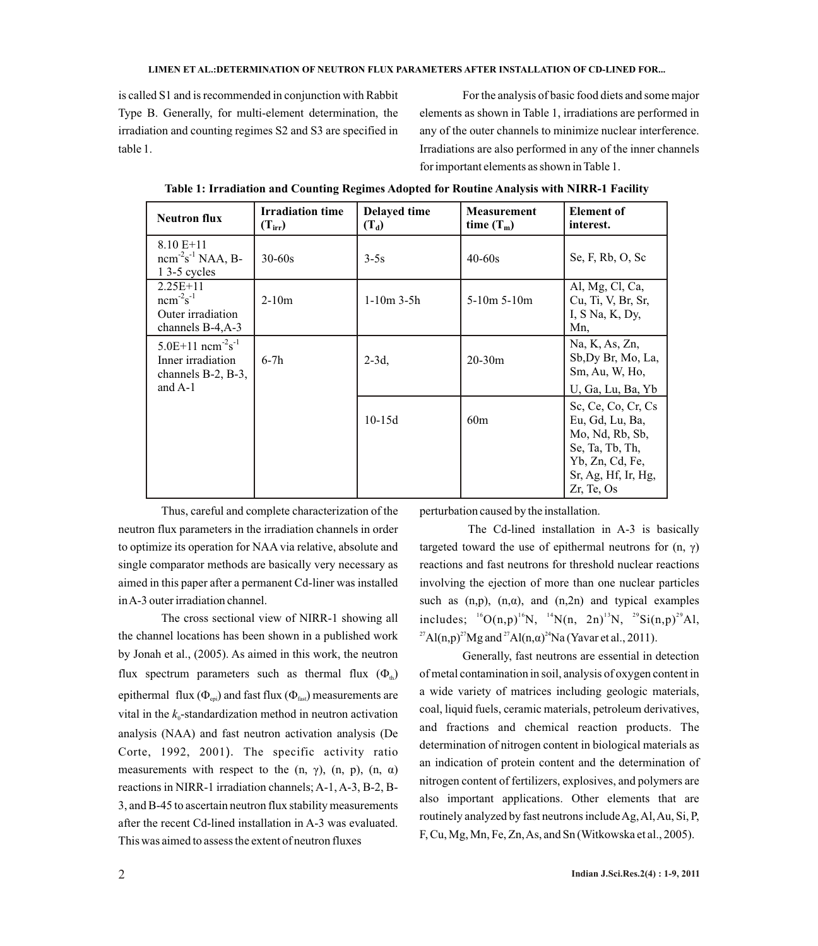is called S1 and is recommended in conjunction with Rabbit Type B. Generally, for multi-element determination, the irradiation and counting regimes S2 and S3 are specified in table 1.

For the analysis of basic food diets and some major elements as shown in Table 1, irradiations are performed in any of the outer channels to minimize nuclear interference. Irradiations are also performed in any of the inner channels for important elements as shown in Table 1.

| <b>Neutron flux</b>                                                                                       | <b>Irradiation time</b><br>$(T_{irr})$ | <b>Delayed time</b><br>$(T_d)$ | <b>Measurement</b><br>time $(T_m)$ | <b>Element of</b><br>interest.                                                                                                      |
|-----------------------------------------------------------------------------------------------------------|----------------------------------------|--------------------------------|------------------------------------|-------------------------------------------------------------------------------------------------------------------------------------|
| $8.10 E+11$<br>$ncm-2s-1 NAA, B-$<br>$13-5$ cycles                                                        | $30 - 60s$                             | $3-5s$                         | $40 - 60s$                         | Se, F, Rb, O, Sc                                                                                                                    |
| $2.25E+11$<br>$ncm^{-2}s^{-1}$<br>Outer irradiation<br>channels $B-4, A-3$                                | $2-10m$                                | $1-10m$ 3-5h                   | $5-10m$ 5-10m                      | Al, Mg, Cl, Ca,<br>Cu, Ti, V, Br, Sr,<br>I, S Na, K, Dy,<br>Mn,                                                                     |
| $5.0E+11$ ncm <sup>-2</sup> s <sup>-1</sup><br>Inner irradiation<br>channels $B-2$ , $B-3$ ,<br>and $A-1$ | $6-7h$                                 | $2-3d$ ,                       | $20 - 30m$                         | Na, K, As, Zn,<br>Sb, Dy Br, Mo, La,<br>Sm, Au, W, Ho,<br>U, Ga, Lu, Ba, Yb                                                         |
|                                                                                                           |                                        | $10-15d$                       | 60m                                | Sc, Ce, Co, Cr, Cs<br>Eu, Gd, Lu, Ba,<br>Mo, Nd, Rb, Sb,<br>Se, Ta, Tb, Th,<br>Yb, Zn, Cd, Fe,<br>Sr, Ag, Hf, Ir, Hg,<br>Zr, Te, Os |

**Table 1: Irradiation and Counting Regimes Adopted for Routine Analysis with NIRR-1 Facility**

Thus, careful and complete characterization of the neutron flux parameters in the irradiation channels in order to optimize its operation for NAA via relative, absolute and single comparator methods are basically very necessary as aimed in this paper after a permanent Cd-liner was installed in A-3 outer irradiation channel.

The cross sectional view of NIRR-1 showing all the channel locations has been shown in a published work by Jonah et al., (2005). As aimed in this work, the neutron flux spectrum parameters such as thermal flux  $(\Phi_{\phi})$ epithermal flux  $(\Phi_{\text{en}})$  and fast flux  $(\Phi_{\text{fast}})$  measurements are vital in the  $k_0$ -standardization method in neutron activation analysis (NAA) and fast neutron activation analysis (De Corte, 1992, 2001). The specific activity ratio measurements with respect to the (n,  $\gamma$ ), (n, p), (n,  $\alpha$ ) reactions in NIRR-1 irradiation channels; A-1, A-3, B-2, B-3, and B-45 to ascertain neutron flux stability measurements after the recent Cd-lined installation in A-3 was evaluated. This was aimed to assess the extent of neutron fluxes

perturbation caused by the installation.

The Cd-lined installation in A-3 is basically targeted toward the use of epithermal neutrons for  $(n, \gamma)$ reactions and fast neutrons for threshold nuclear reactions involving the ejection of more than one nuclear particles such as  $(n,p)$ ,  $(n,\alpha)$ , and  $(n,2n)$  and typical examples includes;  $^{16}O(n,p)^{16}N$ ,  $^{14}N(n, 2n)^{13}N$ ,  $^{29}Si(n,p)^{29}Al$ , <sup>27</sup>Al(n,p)<sup>27</sup>Mg and <sup>27</sup>Al(n,a)<sup>24</sup>Na (Yavar et al., 2011).

Generally, fast neutrons are essential in detection of metal contamination in soil, analysis of oxygen content in a wide variety of matrices including geologic materials, coal, liquid fuels, ceramic materials, petroleum derivatives, and fractions and chemical reaction products. The determination of nitrogen content in biological materials as an indication of protein content and the determination of nitrogen content of fertilizers, explosives, and polymers are also important applications. Other elements that are routinely analyzed by fast neutrons include Ag, Al, Au, Si, P, F, Cu, Mg, Mn, Fe, Zn, As, and Sn (Witkowska et al., 2005).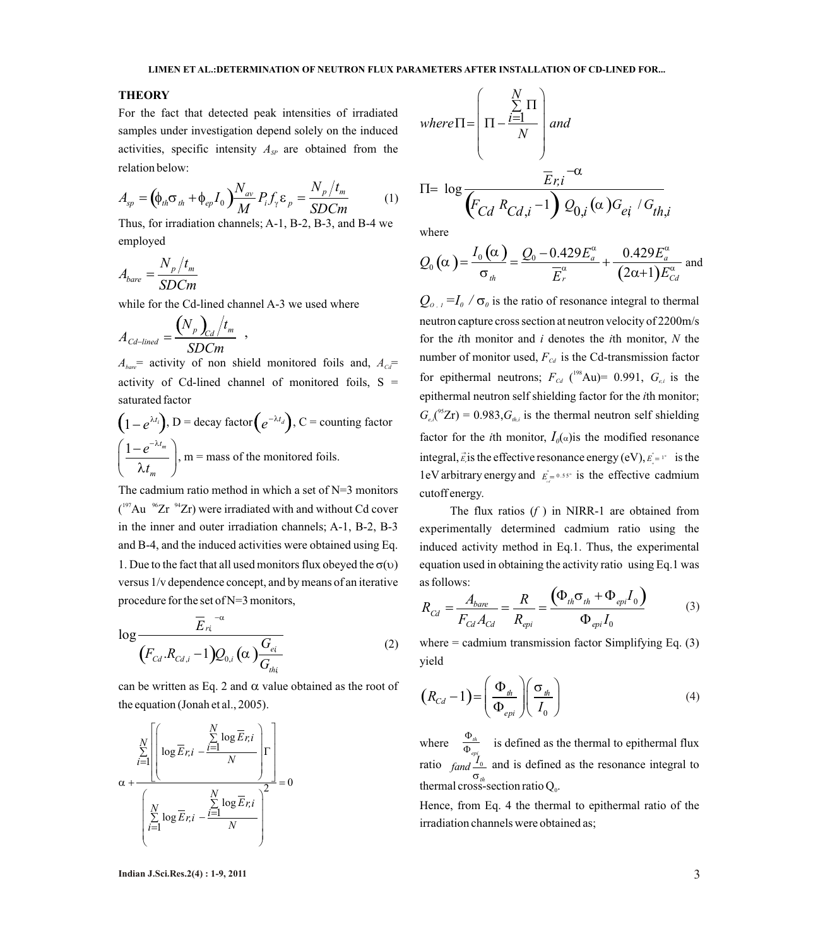# **THEORY**

For the fact that detected peak intensities of irradiated samples under investigation depend solely on the induced activities, specific intensity  $A_{SP}$  are obtained from the relation below:

$$
A_{sp} = \left(\phi_{th}\sigma_{th} + \phi_{ep}I_0\right)\frac{N_{av}}{M}P_i f_\gamma \varepsilon_p = \frac{N_p/t_m}{SDCm} \tag{1}
$$

Thus, for irradiation channels; A-1, B-2, B-3, and B-4 we employed

$$
A_{bare} = \frac{N_p / t_m}{SDCm}
$$

while for the Cd-lined channel A-3 we used where

$$
A_{\text{Cd-lined}} = \frac{(N_p)_{\text{Cd}}/t_m}{\text{SDCm}} \;\;,
$$

 $A_{bare}$  = activity of non shield monitored foils and,  $A_{Cat}$ activity of Cd-lined channel of monitored foils,  $S =$ saturated factor

$$
(1 - e^{\lambda t_i}), D = decay factor (e^{-\lambda t_d}), C = counting factor
$$

$$
\left(\frac{1 - e^{-\lambda t_m}}{\lambda t_m}\right), m = mass of the monitored foils.
$$

The cadmium ratio method in which a set of N=3 monitors  $(197\text{Au} \space \text{m}^{-96}\text{Zr} \space \text{m}^{-94}\text{Zr})$  were irradiated with and without Cd cover in the inner and outer irradiation channels; A-1, B-2, B-3 and B-4, and the induced activities were obtained using Eq. 1. Due to the fact that all used monitors flux obeyed the  $\sigma(v)$  equation used in obtaining the activity ratio using Eq.1 was versus 1/v dependence concept, and by means of an iterative procedure for the set of N=3 monitors,

$$
\log \frac{\overline{E}_{ri}^{-\alpha}}{(F_{Cd}.R_{Cd,i}-1)Q_{0,i}(\alpha)\frac{G_{ei}}{G_{thi}}}
$$
(2)

can be written as Eq. 2 and  $\alpha$  value obtained as the root of the equation (Jonah et al., 2005).



where
$$
\Pi = \left(\Pi - \frac{\sum_{i=1}^{N} \Pi}{N}\right) \text{ and}
$$

$$
\Pi = \log \frac{\overline{E}_{r,i} - \alpha}{\left(\overline{F}_{Cd} R_{Cd,i} - 1\right) Q_{0,i} (\alpha) G_{ej} / G_{th,i}}
$$

where

$$
Q_0\left(\alpha\right) = \frac{I_0\left(\alpha\right)}{\sigma_{th}} = \frac{Q_0 - 0.429E_a^{\alpha}}{E_r^{\alpha}} + \frac{0.429E_a^{\alpha}}{(2\alpha + 1)E_{Cd}^{\alpha}} \text{ and}
$$

 $\frac{d}{dC_d - line} = \frac{V \cdot p \cdot C_d / l \cdot m}{SDCm}$ ,<br>
for the *i*th monitor and *i* denotes the *i*th monitor, *N* the<br>  $b_{bare}$  activity of non shield monitored foils and,  $A_{Cd}$  = number of monitor used,  $F_{Cd}$  is the Cd-transmission fac  $Q_{\sigma, I} = I_0 / \sigma_0$  is the ratio of resonance integral to thermal neutron capture cross section at neutron velocity of 2200m/s for the *i*th monitor and *i* denotes the *i*th monitor, *N* the number of monitor used,  $F_{cd}$  is the Cd-transmission factor for epithermal neutrons;  $F_{cd}$  ( $^{198}Au$ ) = 0.991,  $G_{ei}$  is the epithermal neutron self shielding factor for the *i*th monitor;  $G_{e,i}^{S^5Z}$ r) = 0.983, $G_{i_{h,i}}$  is the thermal neutron self shielding factor for the *i*th monitor,  $I_0(\alpha)$  is the modified resonance integral,  $\vec{E}$  is the effective resonance energy (eV),  $E = I^*$  is the 1eV arbitrary energy and  $\vec{E} = 0.55^\circ$  is the effective cadmium cutoff energy.  $E_{\alpha} = 1$ 

> The flux ratios (*f* ) in NIRR-1 are obtained from experimentally determined cadmium ratio using the induced activity method in Eq.1. Thus, the experimental as follows:

$$
R_{Cd} = \frac{A_{bare}}{F_{Cd}A_{Cd}} = \frac{R}{R_{epi}} = \frac{(\Phi_{th}\sigma_{th} + \Phi_{epi}I_0)}{\Phi_{epi}I_0}
$$
(3)

where  $=$  cadmium transmission factor Simplifying Eq.  $(3)$ yield

$$
(R_{Cd}-1) = \left(\frac{\Phi_{th}}{\Phi_{epi}}\right) \left(\frac{\sigma_{th}}{I_0}\right)
$$
 (4)

where  $\frac{1}{\Phi}$  is defined as the thermal to epithermal flux ratio  $\int_{c}^{w_{epi}}$  and is defined as the resonance integral to thermal cross-section ratio  $Q_0$ .  $\frac{\mathbf{\Phi}_{th}}{\mathbf{\Phi}_{en}}$ Φ *th*  $\int_{\sigma_{\mu}}^{T}$ 

Hence, from Eq. 4 the thermal to epithermal ratio of the irradiation channels were obtained as;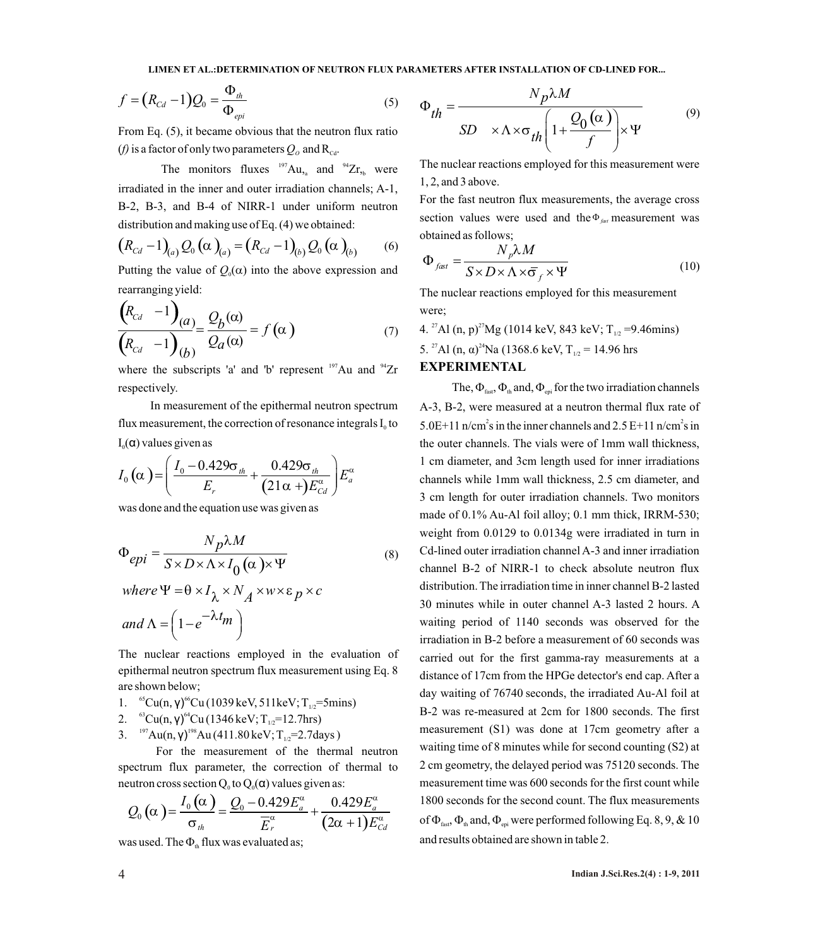**LIMEN ET AL.:DETERMINATION OF NEUTRON FLUX PARAMETERS AFTER INSTALLATION OF CD-LINED FOR...** 

$$
f = (R_{Cd} - 1)Q_0 = \frac{\Phi_{th}}{\Phi_{epi}}
$$
 (5)

From Eq. (5), it became obvious that the neutron flux ratio (*f*) is a factor of only two parameters  $Q_o$  and  $R_{\text{cd}}$ .

The monitors fluxes  $197$ Au, and  $94$ Zr, were irradiated in the inner and outer irradiation channels; A-1, B-2, B-3, and B-4 of NIRR-1 under uniform neutron distribution and making use of Eq. (4) we obtained:

$$
(R_{Cd} - 1)_{(a)} Q_0 (\alpha)_{(a)} = (R_{Cd} - 1)_{(b)} Q_0 (\alpha)_{(b)}
$$
 (6)

Putting the value of  $Q_0(\alpha)$  into the above expression and rearranging yield:

$$
\frac{\left(R_{Cd} - 1\right)_{(a)}}{\left(R_{Cd} - 1\right)_{(b)}} = \frac{Q_b(\alpha)}{Q_a(\alpha)} = f(\alpha)
$$
\n(7)

where the subscripts 'a' and 'b' represent  $197$ Au and  $94$ Zr respectively.

In measurement of the epithermal neutron spectrum flux measurement, the correction of resonance integrals  $I_0$  to  $I_0(α)$  values given as

$$
I_0(\alpha) = \left(\frac{I_0 - 0.429\sigma_{th}}{E_r} + \frac{0.429\sigma_{th}}{(21\alpha + E_{cd}^{\alpha})}E_a^{\alpha}\right)
$$

was done and the equation use was given as

$$
\Phi_{epi} = \frac{N_p \lambda M}{S \times D \times \Lambda \times I_0 (\alpha) \times \Psi}
$$
\n
$$
\text{where } \mathbf{W} = \mathbf{0} \times I_0 \times N_1 \times \mathbf{W} \times \mathbf{S} \times \mathbf{S}.
$$
\n
$$
(8)
$$

where 
$$
\Psi = \theta \times I_{\lambda} \times N_A \times w \times \varepsilon_p \times c
$$
  
and  $\Lambda = \left(1 - e^{-\lambda t_m}\right)$ 

The nuclear reactions employed in the evaluation of epithermal neutron spectrum flux measurement using Eq. 8 are shown below;

- 1. <sup>65</sup> Cu(n, γ)<sup>66</sup>Cu (1039 keV, 511 keV; T<sub>1/2</sub> = 5mins)
- 2. <sup>63</sup> Cu(n, γ)<sup>64</sup> Cu(1346 keV; T<sub>1/2</sub>=12.7hrs)
- 3. <sup>197</sup> Au(n, γ)<sup>198</sup> Au (411.80 keV; T<sub>1/2</sub>=2.7days)

For the measurement of the thermal neutron spectrum flux parameter, the correction of thermal to neutron cross section  $Q_0$  to  $Q_0(\alpha)$  values given as:

$$
Q_0(\alpha) = \frac{I_0(\alpha)}{\sigma_{th}} = \frac{Q_0 - 0.429 E_a^{\alpha}}{E_r^{\alpha}} + \frac{0.429 E_a^{\alpha}}{(2\alpha + 1)E_{Cd}^{\alpha}}
$$

was used. The  $\Phi_{\text{th}}$  flux was evaluated as;

$$
\Phi_{th} = \frac{N_p \lambda M}{SD \times \Lambda \times \sigma_{th} \left(1 + \frac{Q_0(\alpha)}{f}\right) \times \Psi}
$$
\n(9)

The nuclear reactions employed for this measurement were 1, 2, and 3 above.

For the fast neutron flux measurements, the average cross section values were used and the  $\Phi_{\text{fast}}$  measurement was obtained as follows;

$$
\Phi_{\text{fast}} = \frac{N_p \lambda M}{S \times D \times \Lambda \times \overline{\sigma}_f \times \Psi} \tag{10}
$$

The nuclear reactions employed for this measurement were;

4. <sup>27</sup> Al (n, p)<sup>27</sup> Mg (1014 keV, 843 keV; T<sub>12</sub> = 9.46mins) 5. <sup>27</sup> Al (n,  $\alpha$ )<sup>24</sup> Na (1368.6 keV, T<sub>12</sub> = 14.96 hrs

# **EXPERIMENTAL**

The,  $\Phi_{\text{fast}}$ ,  $\Phi_{\text{th}}$  and,  $\Phi_{\text{epi}}$  for the two irradiation channels A-3, B-2, were measured at a neutron thermal flux rate of 5.0E+11 n/cm<sup>2</sup>s in the inner channels and 2.5 E+11 n/cm<sup>2</sup>s in the outer channels. The vials were of 1mm wall thickness, 1 cm diameter, and 3cm length used for inner irradiations channels while 1mm wall thickness, 2.5 cm diameter, and 3 cm length for outer irradiation channels. Two monitors made of 0.1% Au-Al foil alloy; 0.1 mm thick, IRRM-530; weight from 0.0129 to 0.0134g were irradiated in turn in Cd-lined outer irradiation channel A-3 and inner irradiation channel B-2 of NIRR-1 to check absolute neutron flux distribution. The irradiation time in inner channel B-2 lasted 30 minutes while in outer channel A-3 lasted 2 hours. A waiting period of 1140 seconds was observed for the irradiation in B-2 before a measurement of 60 seconds was carried out for the first gamma-ray measurements at a distance of 17cm from the HPGe detector's end cap. After a day waiting of 76740 seconds, the irradiated Au-Al foil at B-2 was re-measured at 2cm for 1800 seconds. The first measurement (S1) was done at 17cm geometry after a waiting time of 8 minutes while for second counting (S2) at 2 cm geometry, the delayed period was 75120 seconds. The measurement time was 600 seconds for the first count while 1800 seconds for the second count. The flux measurements of  $\Phi_{\text{fast}}$ ,  $\Phi_{\text{th}}$  and,  $\Phi_{\text{ent}}$  were performed following Eq. 8, 9, & 10 and results obtained are shown in table 2.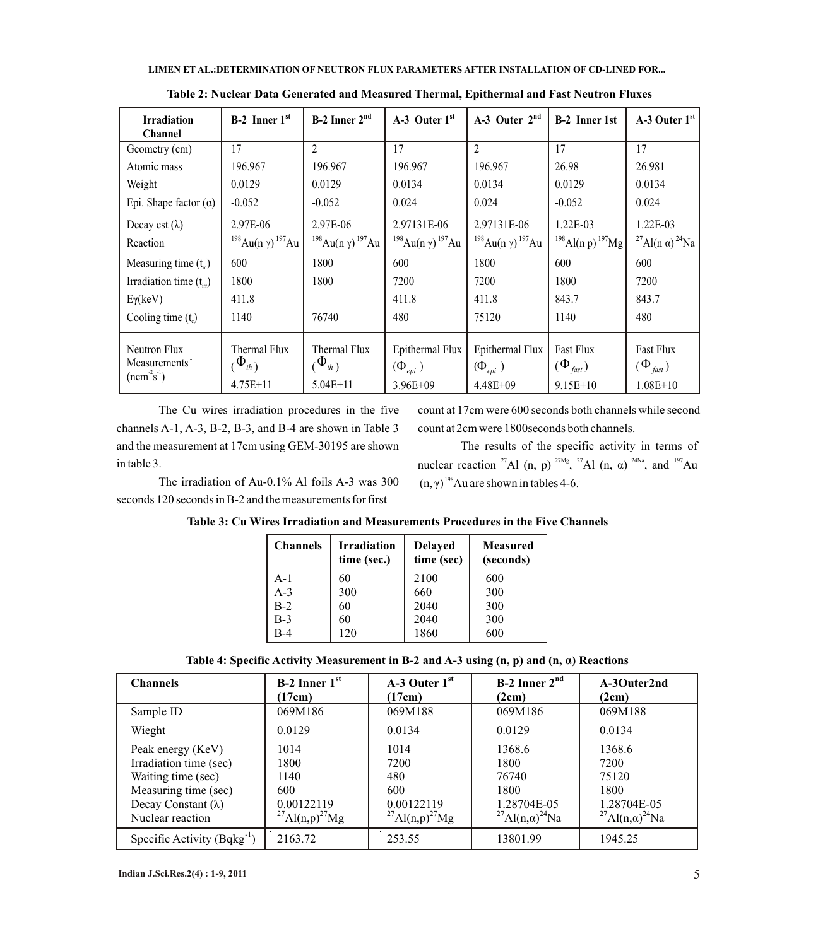#### **LIMEN ET AL.:DETERMINATION OF NEUTRON FLUX PARAMETERS AFTER INSTALLATION OF CD-LINED FOR...**

| <b>Irradiation</b><br><b>Channel</b>                      | $B-2$ Inner $1st$                                    | $B-2$ Inner $2nd$                                    | $A-3$ Outer $1st$                             | A-3 Outer $2nd$                                         | <b>B-2</b> Inner 1st                         | $A-3$ Outer $1st$                                  |
|-----------------------------------------------------------|------------------------------------------------------|------------------------------------------------------|-----------------------------------------------|---------------------------------------------------------|----------------------------------------------|----------------------------------------------------|
| Geometry (cm)                                             | 17                                                   | $\overline{2}$                                       | 17                                            | 2                                                       | 17                                           | 17                                                 |
| Atomic mass                                               | 196.967                                              | 196.967                                              | 196.967                                       | 196.967                                                 | 26.98                                        | 26.981                                             |
| Weight                                                    | 0.0129                                               | 0.0129                                               | 0.0134                                        | 0.0134                                                  | 0.0129                                       | 0.0134                                             |
| Epi. Shape factor $(\alpha)$                              | $-0.052$                                             | $-0.052$                                             | 0.024                                         | 0.024                                                   | $-0.052$                                     | 0.024                                              |
| Decay cst $(\lambda)$<br>Reaction                         | 2.97E-06<br><sup>198</sup> Au(n γ) <sup>197</sup> Au | 2.97E-06<br><sup>198</sup> Au(n γ) <sup>197</sup> Au | 2.97131E-06<br>$198$ Au(n y) $197$ Au         | 2.97131E-06<br><sup>198</sup> Au(n γ) <sup>197</sup> Au | 1.22E-03<br>$198$ Al(n p) $197$ Mg           | 1.22E-03<br><sup>27</sup> Al(n α) <sup>24</sup> Na |
| Measuring time $(t_m)$                                    | 600                                                  | 1800                                                 | 600                                           | 1800                                                    | 600                                          | 600                                                |
| Irradiation time $(t_{ir})$                               | 1800                                                 | 1800                                                 | 7200                                          | 7200                                                    | 1800                                         | 7200                                               |
| $E\gamma$ (keV)                                           | 411.8                                                |                                                      | 411.8                                         | 411.8                                                   | 843.7                                        | 843.7                                              |
| Cooling time $(tc)$                                       | 1140                                                 | 76740                                                | 480                                           | 75120                                                   | 1140                                         | 480                                                |
| Neutron Flux<br>Measurements <sup>-</sup><br>$(ncm-2s-1)$ | Thermal Flux<br>$\Phi_{th}$ )                        | Thermal Flux<br>$(\Phi_{th})$                        | Epithermal Flux<br>$(\Phi_{\text{\it epi}}$ ) | Epithermal Flux<br>$(\Phi_{\text{\it epi}}$ )           | <b>Fast Flux</b><br>$(\Phi_{\mathit{fast}})$ | <b>Fast Flux</b><br>$(\Phi_{\mathit{fast}})$       |
|                                                           | $4.75E + 11$                                         | $5.04E+11$                                           | 3.96E+09                                      | $4.48E + 09$                                            | $9.15E+10$                                   | $1.08E + 10$                                       |

**Table 2: Nuclear Data Generated and Measured Thermal, Epithermal and Fast Neutron Fluxes**

The Cu wires irradiation procedures in the five channels A-1, A-3, B-2, B-3, and B-4 are shown in Table 3 and the measurement at 17cm using GEM-30195 are shown in table 3.

The irradiation of Au-0.1% Al foils A-3 was 300 seconds 120 seconds in B-2 and the measurements for first

count at 17cm were 600 seconds both channels while second count at 2cm were 1800seconds both channels.

The results of the specific activity in terms of nuclear reaction <sup>27</sup>Al (n, p) <sup>27Mg</sup>, <sup>27</sup>Al (n,  $\alpha$ ) <sup>24Na</sup>, and <sup>197</sup>Au  $(n, \gamma)^{198}$ Au are shown in tables 4-6.

| <b>Channels</b> | <b>Irradiation</b><br>time (sec.) | <b>Delayed</b><br>time (sec) | <b>Measured</b><br>(seconds) |
|-----------------|-----------------------------------|------------------------------|------------------------------|
| $A-1$           | 60                                | 2100                         | 600                          |
| $A-3$           | 300                               | 660                          | 300                          |
| $B-2$           | 60                                | 2040                         | 300                          |
| $B-3$           | 60                                | 2040                         | 300                          |
| B-4             | 120                               | 1860                         | 600                          |

**Table 3: Cu Wires Irradiation and Measurements Procedures in the Five Channels**

|  | Table 4: Specific Activity Measurement in B-2 and A-3 using $(n, p)$ and $(n, \alpha)$ Reactions |  |
|--|--------------------------------------------------------------------------------------------------|--|
|--|--------------------------------------------------------------------------------------------------|--|

| <b>Channels</b>                 | $B-2$ Inner $1st$                      | $A-3$ Outer $1st$                      | $B-2$ Inner $2nd$                               | A-3Outer2nd                                     |
|---------------------------------|----------------------------------------|----------------------------------------|-------------------------------------------------|-------------------------------------------------|
|                                 | (17cm)                                 | (17cm)                                 | (2cm)                                           | (2cm)                                           |
| Sample ID                       | 069M186                                | 069M188                                | 069M186                                         | 069M188                                         |
| Wieght                          | 0.0129                                 | 0.0134                                 | 0.0129                                          | 0.0134                                          |
| Peak energy (KeV)               | 1014                                   | 1014                                   | 1368.6                                          | 1368.6                                          |
| Irradiation time (sec)          | 1800                                   | 7200                                   | 1800                                            | 7200                                            |
| Waiting time (sec)              | 1140                                   | 480                                    | 76740                                           | 75120                                           |
| Measuring time (sec)            | 600                                    | 600                                    | 1800                                            | 1800                                            |
| Decay Constant $(\lambda)$      | 0.00122119                             | 0.00122119                             | 1.28704E-05                                     | 1.28704E-05                                     |
| Nuclear reaction                | <sup>27</sup> Al(n,p) <sup>27</sup> Mg | <sup>27</sup> Al(n,p) <sup>27</sup> Mg | <sup>27</sup> Al(n, $\alpha$ ) <sup>24</sup> Na | <sup>27</sup> Al(n, $\alpha$ ) <sup>24</sup> Na |
| Specific Activity $(Bqkg^{-1})$ | 2163.72                                | 253.55                                 | 13801.99                                        | 1945.25                                         |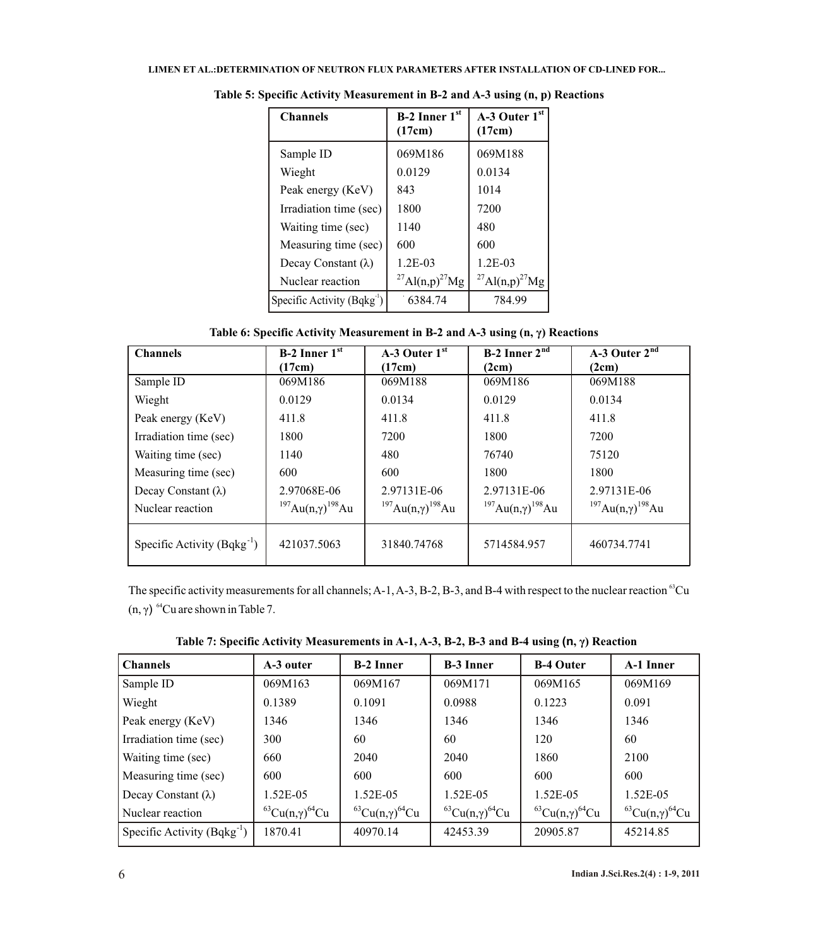| <b>Channels</b>                 | $B-2$ Inner 1st<br>(17cm)              | $A-3$ Outer $1st$<br>(17cm)            |
|---------------------------------|----------------------------------------|----------------------------------------|
| Sample ID                       | 069M186                                | 069M188                                |
| Wieght                          | 0.0129                                 | 0.0134                                 |
| Peak energy (KeV)               | 843                                    | 1014                                   |
| Irradiation time (sec)          | 1800                                   | 7200                                   |
| Waiting time (sec)              | 1140                                   | 480                                    |
| Measuring time (sec)            | 600                                    | 600                                    |
| Decay Constant $(\lambda)$      | $1.2E-03$                              | $1.2E-03$                              |
| Nuclear reaction                | <sup>27</sup> Al(n,p) <sup>27</sup> Mg | <sup>27</sup> Al(n,p) <sup>27</sup> Mg |
| Specific Activity $(Bqkg^{-1})$ | 6384.74                                | 784.99                                 |

**Table 5: Specific Activity Measurement in B-2 and A-3 using (n, p) Reactions** 

**Table 6: Specific Activity Measurement in B-2 and A-3 using (n, γ) Reactions**

| <b>Channels</b>                 | B-2 Inner $1st$                          | $A-3$ Outer $1st$                        | <b>B-2</b> Inner $2^{nd}$                | A-3 Outer $2^{\overline{nd}}$            |
|---------------------------------|------------------------------------------|------------------------------------------|------------------------------------------|------------------------------------------|
|                                 | (17cm)                                   | (17cm)                                   | (2cm)                                    | (2cm)                                    |
| Sample ID                       | 069M186                                  | 069M188                                  | 069M186                                  | 069M188                                  |
| Wieght                          | 0.0129                                   | 0.0134                                   | 0.0129                                   | 0.0134                                   |
| Peak energy (KeV)               | 411.8                                    | 411.8                                    | 411.8                                    | 411.8                                    |
| Irradiation time (sec)          | 1800                                     | 7200                                     | 1800                                     | 7200                                     |
| Waiting time (sec)              | 1140                                     | 480                                      | 76740                                    | 75120                                    |
| Measuring time (sec)            | 600                                      | 600                                      | 1800                                     | 1800                                     |
| Decay Constant $(\lambda)$      | 2.97068E-06                              | 2.97131E-06                              | 2.97131E-06                              | 2.97131E-06                              |
| Nuclear reaction                | $197$ Au(n, $\gamma$ ) <sup>198</sup> Au | <sup>197</sup> Au(n,γ) <sup>198</sup> Au | <sup>197</sup> Au(n,γ) <sup>198</sup> Au | <sup>197</sup> Au(n,γ) <sup>198</sup> Au |
| Specific Activity $(Bqkg^{-1})$ | 421037.5063                              | 31840.74768                              | 5714584.957                              | 460734.7741                              |

The specific activity measurements for all channels; A-1, A-3, B-2, B-3, and B-4 with respect to the nuclear reaction  ${}^{63}Cu$ (n, γ)  $<sup>64</sup>Cu$  are shown in Table 7.</sup>

| <b>Channels</b>                 | A-3 outer                              | <b>B-2 Inner</b>                                | <b>B-3 Inner</b>                       | <b>B-4 Outer</b>                                | A-1 Inner                                       |
|---------------------------------|----------------------------------------|-------------------------------------------------|----------------------------------------|-------------------------------------------------|-------------------------------------------------|
| Sample ID                       | 069M163                                | 069M167                                         | 069M171                                | 069M165                                         | 069M169                                         |
| Wieght                          | 0.1389                                 | 0.1091                                          | 0.0988                                 | 0.1223                                          | 0.091                                           |
| Peak energy (KeV)               | 1346                                   | 1346                                            | 1346                                   | 1346                                            | 1346                                            |
| Irradiation time (sec)          | 300                                    | 60                                              | 60                                     | 120                                             | 60                                              |
| Waiting time (sec)              | 660                                    | 2040                                            | 2040                                   | 1860                                            | 2100                                            |
| Measuring time (sec)            | 600                                    | 600                                             | 600                                    | 600                                             | 600                                             |
| Decay Constant $(\lambda)$      | 1.52E-05                               | $1.52E-0.5$                                     | $1.52E - 0.5$                          | 1.52E-05                                        | $1.52E-0.5$                                     |
| Nuclear reaction                | <sup>63</sup> Cu(n,γ) <sup>64</sup> Cu | <sup>63</sup> Cu(n, $\gamma$ ) <sup>64</sup> Cu | <sup>63</sup> Cu(n,γ) <sup>64</sup> Cu | <sup>63</sup> Cu(n, $\gamma$ ) <sup>64</sup> Cu | <sup>63</sup> Cu(n, $\gamma$ ) <sup>64</sup> Cu |
| Specific Activity $(Bqkg^{-1})$ | 1870.41                                | 40970.14                                        | 42453.39                               | 20905.87                                        | 45214.85                                        |

**Table 7: Specific Activity Measurements in A-1, A-3, B-2, B-3 and B-4 using (n, γ) Reaction**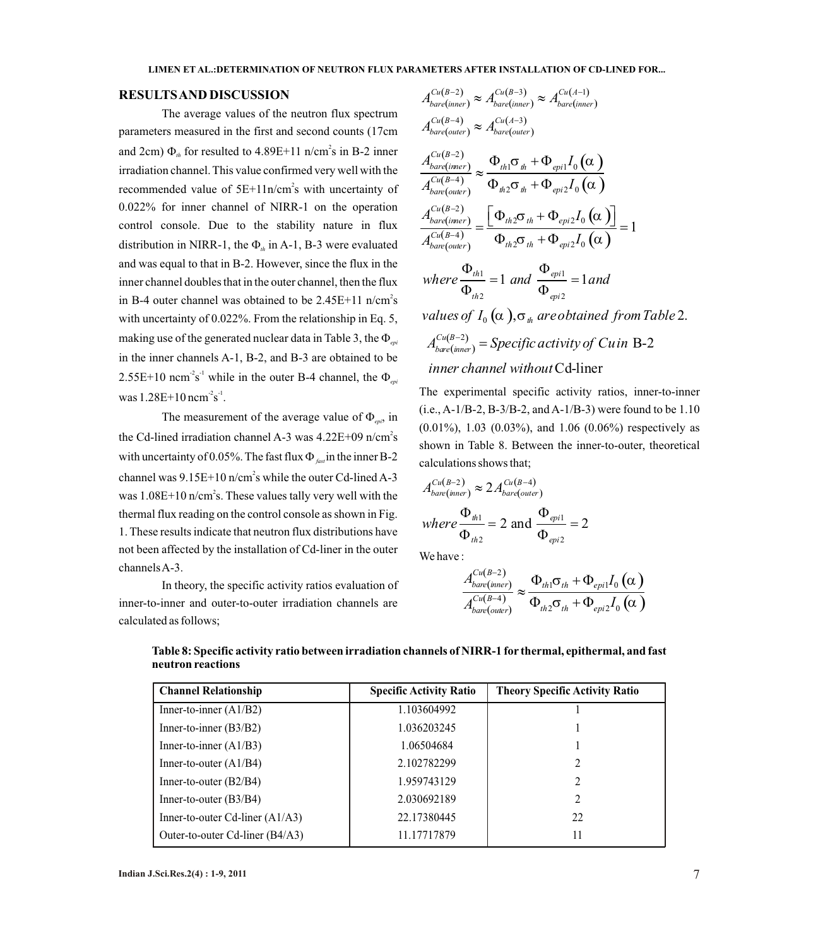#### **RESULTS AND DISCUSSION**

The average values of the neutron flux spectrum parameters measured in the first and second counts (17cm and 2cm)  $\Phi_{th}$  for resulted to 4.89E+11 n/cm<sup>2</sup>s in B-2 inner  $\Phi_{t}$  *tu(B-2)* irradiation channel. This value confirmed very well with the recommended value of  $5E+11n/cm<sup>2</sup>s$  with uncertainty of 0.022% for inner channel of NIRR-1 on the operation control console. Due to the stability nature in flux distribution in NIRR-1, the  $\Phi_{th}$  in A-1, B-3 were evaluated and was equal to that in B-2. However, since the flux in the inner channel doubles that in the outer channel, then the flux in B-4 outer channel was obtained to be  $2.45E+11$  n/cm<sup>2</sup>s with uncertainty of 0.022%. From the relationship in Eq. 5, making use of the generated nuclear data in Table 3, the  $\Phi_{epi}$ in the inner channels A-1, B-2, and B-3 are obtained to be  $2.55E+10$  ncm<sup>-2</sup>s<sup>-1</sup> while in the outer B-4 channel, the  $\Phi_{em}$ was  $1.28E+10$  ncm<sup>-2</sup>s<sup>-1</sup>.

The measurement of the average value of  $\Phi_{\text{epi}}$ , in the Cd-lined irradiation channel A-3 was  $4.22E+09$  n/cm<sup>2</sup>s with uncertainty of 0.05%. The fast flux  $\Phi_{\text{fast}}$  in the inner B-2 channel was  $9.15E+10$  n/cm<sup>2</sup>s while the outer Cd-lined A-3 was  $1.08E+10$  n/cm<sup>2</sup>s. These values tally very well with the thermal flux reading on the control console as shown in Fig. 1. These results indicate that neutron flux distributions have not been affected by the installation of Cd-liner in the outer channels A-3.

In theory, the specific activity ratios evaluation of inner-to-inner and outer-to-outer irradiation channels are calculated as follows;

$$
A_{bare(inner)}^{Cu(B-2)} \approx A_{bare(inner)}^{Cu(B-3)} \approx A_{bare(inner)}^{Cu(A-1)}
$$
  
\n
$$
A_{bare(outer)}^{Cu(B-4)} \approx A_{bare(outer)}^{Cu(A-3)}
$$
  
\n
$$
\frac{A_{bare(inner)}^{Cu(B-2)}}{A_{bare(outer)}^{Cu(B-4)}} \approx \frac{\Phi_{th1}\sigma_{th} + \Phi_{ep1}I_0(\alpha)}{\Phi_{th2}\sigma_{th} + \Phi_{ep1}I_0(\alpha)}
$$
  
\n
$$
\frac{A_{bare(inner)}^{Cu(B-2)}}{A_{bare(inner)}^{Cu(B-4)}} = \frac{[\Phi_{th2}\sigma_{th} + \Phi_{ep1}I_0(\alpha)]}{\Phi_{th2}\sigma_{th} + \Phi_{ep1}I_0(\alpha)} = 1
$$
  
\n
$$
\frac{\Phi_{th1}}{\Phi_{th2}\sigma_{th}} = 1
$$

where 
$$
\frac{\Phi_{th1}}{\Phi_{th2}} = 1
$$
 and  $\frac{\Phi_{epi1}}{\Phi_{epi2}} = 1$  and

values of  $I_{0}\left(\alpha\right.)$ , $\sigma_{\scriptscriptstyle th}$  are obtained from Table 2.

$$
A_{bare(mner)}^{Cu(B-2)} = Specific activity of Cuin B-2
$$
  
inner channel without Cd-liner

The experimental specific activity ratios, inner-to-inner  $(i.e., A-1/B-2, B-3/B-2, and A-1/B-3)$  were found to be 1.10 (0.01%), 1.03 (0.03%), and 1.06 (0.06%) respectively as shown in Table 8. Between the inner-to-outer, theoretical calculations shows that;

$$
A_{bare(mner)}^{Cu(B-2)} \approx 2 A_{bare(outer)}^{Cu(B-4)}
$$
  
where  $\frac{\Phi_{th1}}{\Phi_{th2}} = 2$  and  $\frac{\Phi_{epi1}}{\Phi_{epi2}} = 2$ 

We have :

$$
\frac{A_{bare(inner)}^{Cu(B-2)}}{A_{bare(outer)}^{Cu(B-4)}} \approx \frac{\Phi_{th1}\sigma_{th} + \Phi_{epi1}I_0\left(\alpha\right)}{\Phi_{th2}\sigma_{th} + \Phi_{epi2}I_0\left(\alpha\right)}
$$

| <b>Channel Relationship</b>       | <b>Specific Activity Ratio</b> | <b>Theory Specific Activity Ratio</b> |
|-----------------------------------|--------------------------------|---------------------------------------|
| Inner-to-inner $(A1/B2)$          | 1.103604992                    |                                       |
| Inner-to-inner $(B3/B2)$          | 1.036203245                    |                                       |
| Inner-to-inner $(A1/B3)$          | 1.06504684                     |                                       |
| Inner-to-outer $(A1/B4)$          | 2.102782299                    |                                       |
| Inner-to-outer $(B2/B4)$          | 1.959743129                    |                                       |
| Inner-to-outer $(B3/B4)$          | 2.030692189                    | 2                                     |
| Inner-to-outer Cd-liner $(A1/A3)$ | 22.17380445                    | 22                                    |
| Outer-to-outer Cd-liner (B4/A3)   | 11.17717879                    | 11                                    |

**Table 8: Specific activity ratio between irradiation channels of NIRR-1 for thermal, epithermal, and fast neutron reactions**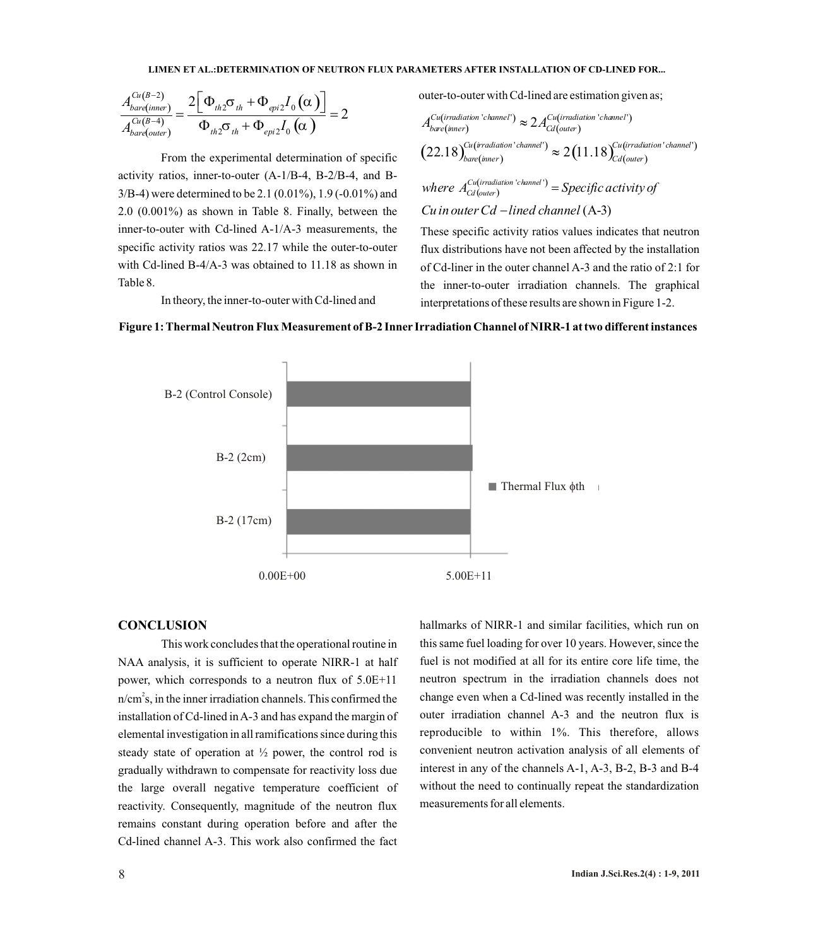#### **LIMEN ET AL.:DETERMINATION OF NEUTRON FLUX PARAMETERS AFTER INSTALLATION OF CD-LINED FOR...**

$$
\frac{A_{bare(inner)}^{Cu(B-2)}}{A_{bare(outer)}^{Cu(B-4)}} = \frac{2[\Phi_{th2}\sigma_{th} + \Phi_{epi2}I_0(\alpha)]}{\Phi_{th2}\sigma_{th} + \Phi_{epi2}I_0(\alpha)} = 2
$$

From the experimental determination of specific activity ratios, inner-to-outer (A-1/B-4, B-2/B-4, and B-3/B-4) were determined to be 2.1 (0.01%), 1.9 (-0.01%) and 2.0 (0.001%) as shown in Table 8. Finally, between the inner-to-outer with Cd-lined A-1/A-3 measurements, the specific activity ratios was 22.17 while the outer-to-outer with Cd-lined B-4/A-3 was obtained to 11.18 as shown in Table 8.

In theory, the inner-to-outer with Cd-lined and

outer-to-outer with Cd-lined are estimation given as;

$$
A_{bare(jinner)}^{Cu(irradiation 'channel')} \approx 2 A_{Cd(outer)}^{Cu(irradiation 'channel')}
$$
  

$$
(22.18)_{bare(jinner)}^{Cu(irradiation' channel')} \approx 2 (11.18)_{Cd(outer)}^{Cu(irradiation' channel')}
$$

 $(\textit{outer})$  $where$   $A_{Cd\, (outer)}^{Cu\,(irradiation\ 'channel\ ')}= Specific\, activity\, of$ (A-3) *Cu in outerCd lined channel*

These specific activity ratios values indicates that neutron flux distributions have not been affected by the installation of Cd-liner in the outer channel A-3 and the ratio of 2:1 for the inner-to-outer irradiation channels. The graphical interpretations of these results are shown in Figure 1-2.



**Figure 1: Thermal Neutron Flux Measurement of B-2 Inner Irradiation Channel of NIRR-1 at two different instances**

#### **CONCLUSION**

This work concludes that the operational routine in NAA analysis, it is sufficient to operate NIRR-1 at half power, which corresponds to a neutron flux of 5.0E+11  $n/cm<sup>2</sup>$ s, in the inner irradiation channels. This confirmed the installation of Cd-lined in A-3 and has expand the margin of elemental investigation in all ramifications since during this steady state of operation at  $\frac{1}{2}$  power, the control rod is gradually withdrawn to compensate for reactivity loss due the large overall negative temperature coefficient of reactivity. Consequently, magnitude of the neutron flux remains constant during operation before and after the Cd-lined channel A-3. This work also confirmed the fact

hallmarks of NIRR-1 and similar facilities, which run on this same fuel loading for over 10 years. However, since the fuel is not modified at all for its entire core life time, the neutron spectrum in the irradiation channels does not change even when a Cd-lined was recently installed in the outer irradiation channel A-3 and the neutron flux is reproducible to within 1%. This therefore, allows convenient neutron activation analysis of all elements of interest in any of the channels A-1, A-3, B-2, B-3 and B-4 without the need to continually repeat the standardization measurements for all elements.